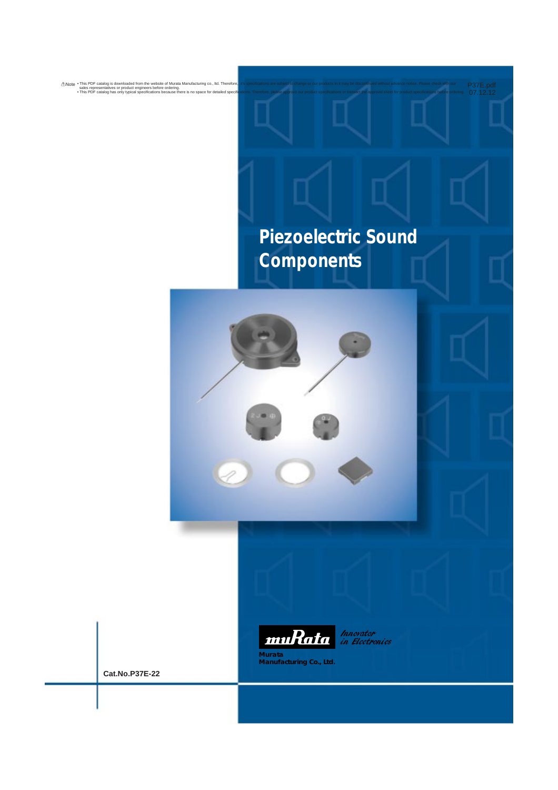# **Piezoelectric Sound Components**

P37E.pdf<br>07.12.12





Innovator<br>in Electronics

**Murata Manufacturing Co., Ltd.**

**Cat.No.P37E-22**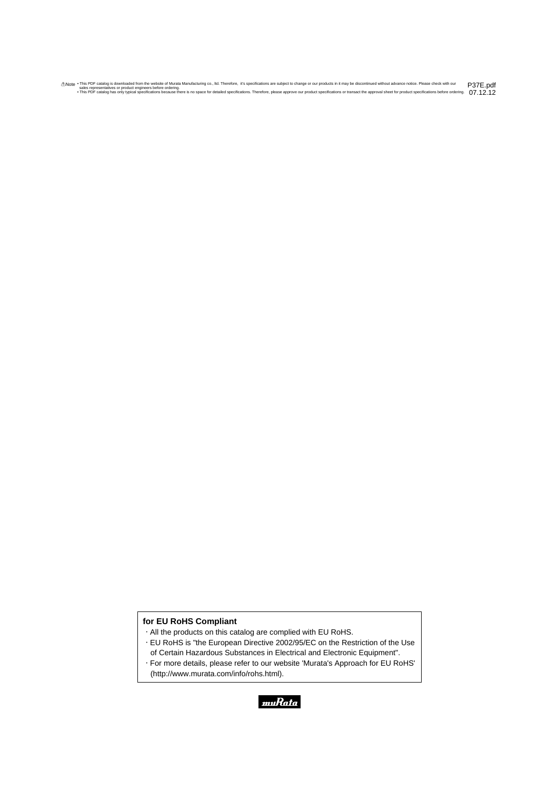## **for EU RoHS Compliant**

- All the products on this catalog are complied with EU RoHS.
- EU RoHS is "the European Directive 2002/95/EC on the Restriction of the Use of Certain Hazardous Substances in Electrical and Electronic Equipment".
- For more details, please refer to our website 'Murata's Approach for EU RoHS' (http://www.murata.com/info/rohs.html).

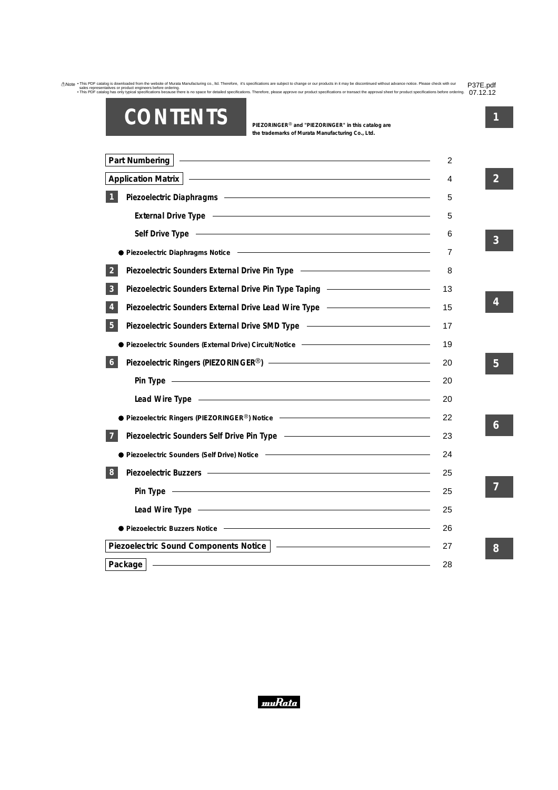# **CONTENTS**

**PIEZORINGER**r **and "PIEZORINGER" in this catalog are the trademarks of Murata Manufacturing Co., Ltd.**

| <u> 1989 - Johann Stein, mars an deus Amerikaansk kommunister (* 1958)</u><br>Part Numbering                                                                                                                                         |                          |
|--------------------------------------------------------------------------------------------------------------------------------------------------------------------------------------------------------------------------------------|--------------------------|
| <b>Application Matrix</b>                                                                                                                                                                                                            |                          |
| Piezoelectric Diaphragms - The Content of the Content of the Content of the Content of the Content of the Content of the Content of the Content of the Content of the Content of the Content of the Content of the Content of        |                          |
| External Drive Type <b>Constant Construction</b> Constant Constant Constant Constant Constant Constant Constant Const                                                                                                                | $\overline{\phantom{a}}$ |
| <u> Alexandria de la contrada de la contrada de la contrada de la contrada de la contrada de la contrada de la c</u><br><b>Self Drive Type</b>                                                                                       |                          |
|                                                                                                                                                                                                                                      |                          |
| Piezoelectric Sounders External Drive Pin Type - The Context Community Piezoelectric Sounders External Drive Pin Type<br>$\overline{2}$                                                                                              |                          |
| Piezoelectric Sounders External Drive Pin Type Taping –––––––––––––––––––––––––––<br>3                                                                                                                                               |                          |
|                                                                                                                                                                                                                                      |                          |
| 5                                                                                                                                                                                                                                    |                          |
| Piezoelectric Sounders (External Drive) Circuit/Notice ––––––––––––––––––––––––––                                                                                                                                                    |                          |
| 6                                                                                                                                                                                                                                    |                          |
| <u> 1989 - Johann Stein, marking arlunydd y cyfeiriad y cyfeiriad y cyfeiriad y cyfeiriad y cyfeiriad y cyfeiriad</u><br>Pin Type                                                                                                    |                          |
| Lead Wire Type <b>contract the Contract of Contract Contract of Contract Contract Contract Contract Contract Contract Contract Contract Contract Contract Contract Contract Contract Contract Contract Contract Contract Contrac</b> |                          |
| Piezoelectric Ringers (PIEZORINGER®) Notice $\overline{\phantom{a}}$                                                                                                                                                                 |                          |
|                                                                                                                                                                                                                                      |                          |
|                                                                                                                                                                                                                                      |                          |
| 8                                                                                                                                                                                                                                    |                          |
| Pin Type <b>contract the contract of the contract of the contract of the contract of the contract of the contract of the contract of the contract of the contract of the contract of the contract of the contract of the contrac</b> |                          |
| Lead Wire Type <b>Constant Construction</b>                                                                                                                                                                                          |                          |
| ● Piezoelectric Buzzers Notice                                                                                                                                                                                                       |                          |
| Piezoelectric Sound Components Notice                                                                                                                                                                                                |                          |
| Package                                                                                                                                                                                                                              |                          |

**3**

**2**

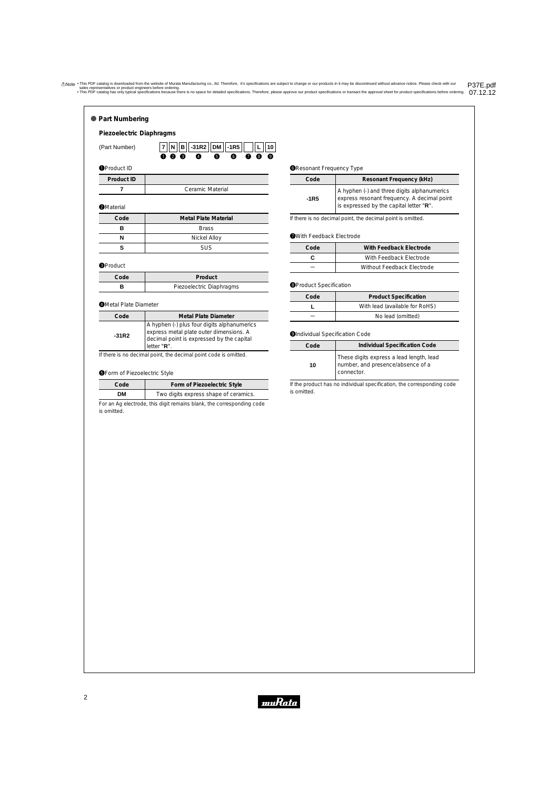<span id="page-3-0"></span>

| Piezoelectric Diaphragms     |                                                                                            |
|------------------------------|--------------------------------------------------------------------------------------------|
| (Part Number)                | $-31R2$<br>$ DM $ -1R5<br> B <br>10<br>N<br>7<br>A<br>6<br>6<br>2<br>Ω<br>⋒<br>Ø<br>π<br>A |
| <b>O</b> Product ID          |                                                                                            |
| Product ID                   |                                                                                            |
| 7                            | Ceramic Material                                                                           |
| <b>@</b> Material            |                                                                                            |
| Code                         | <b>Metal Plate Material</b>                                                                |
| в                            | <b>Brass</b>                                                                               |
| N                            | Nickel Alloy                                                                               |
| s                            | <b>SUS</b>                                                                                 |
| <b>O</b> Product             |                                                                                            |
| Code                         | Product                                                                                    |
| в                            | Piezoelectric Diaphragms                                                                   |
| <b>OMetal Plate Diameter</b> |                                                                                            |
| Code                         | <b>Metal Plate Diameter</b>                                                                |
|                              | A hyphen (-) plus four digits alphanumerics                                                |

If there is no decimal point, the decimal point code is omitted.

### **OForm of Piezoelectric Style**

| Code | Form of Piezoelectric Style           |
|------|---------------------------------------|
| DМ   | Two digits express shape of ceramics. |

For an Ag electrode, this digit remains blank, the corresponding code is omitted.

#### **@Resonant Frequency Type**

| Code | Resonant Frequency (kHz)                                                                                                              |
|------|---------------------------------------------------------------------------------------------------------------------------------------|
| -1R5 | A hyphen (-) and three digits alphanumerics<br>express resonant frequency. A decimal point<br>is expressed by the capital letter "R". |

If there is no decimal point, the decimal point is omitted.

### **With Feedback Electrode**

| Code | With Feedback Electrode    |
|------|----------------------------|
|      | With Feedback Electrode    |
|      | Without Feedback Electrode |

### **O**Product Specification

| Code | <b>Product Specification</b>   |
|------|--------------------------------|
|      | With lead (available for RoHS) |
|      | No lead (omitted)              |

### **OIndividual Specification Code**

| Code | Individual Specification Code                                                               |  |
|------|---------------------------------------------------------------------------------------------|--|
| 10   | These digits express a lead length, lead<br>number, and presence/absence of a<br>connector. |  |

If the product has no individual specification, the corresponding code is omitted.

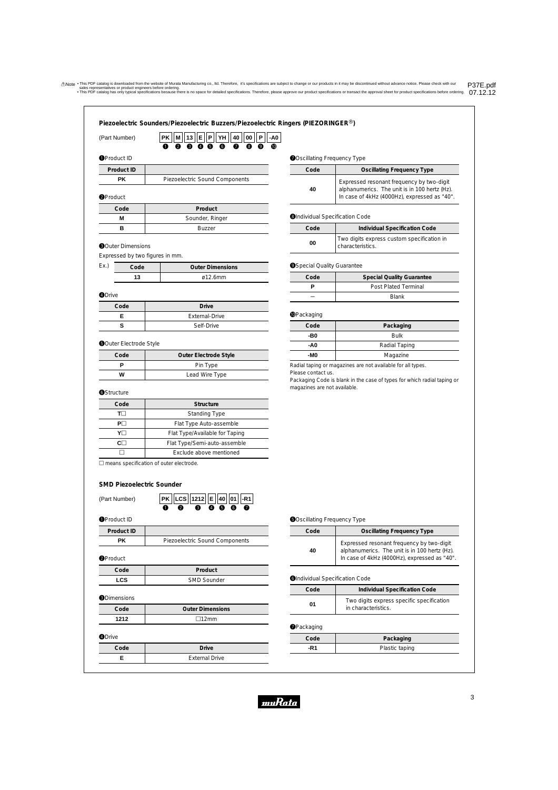$\boldsymbol{0}$ **-A0**

## **Piezoelectric Sounders/Piezoelectric Buzzers/Piezoelectric Ringers (PIEZORINGER**r**)**

| (Part Number) |
|---------------|
|               |

 $\bm{6}$ **YH** e **13** w **M**  $\mathbf 0$ **E o P** 0 **40**  $\bm{0}$ **00** o **P** q **PK**

## **O**Product ID

| Product ID |                                |
|------------|--------------------------------|
| РK         | Piezoelectric Sound Components |

### **@Product**

| Code | Product         |
|------|-----------------|
| М    | Sounder, Ringer |
| R    | <b>Buzzer</b>   |

### **O**Outer Dimensions

Expressed by two figures in mm.

| Ev | Code | <b>Outer Dimensions</b> |
|----|------|-------------------------|
|    |      | $\alpha$ 12 6mm         |

#### **ODrive**

| Code | <b>Drive</b>   |
|------|----------------|
|      | External-Drive |
|      | Self-Drive     |

#### **ODuter Electrode Style**

| Code | <b>Outer Electrode Style</b> |
|------|------------------------------|
| D    | Pin Type                     |
| W    | Lead Wire Type               |

#### **O**Structure

| Code | Structure                      |
|------|--------------------------------|
| π⊣   | <b>Standing Type</b>           |
| PII  | Flat Type Auto-assemble        |
| YII  | Flat Type/Available for Taping |
|      | Flat Type/Semi-auto-assemble   |
|      | Exclude above mentioned        |

 $\square$  means specification of outer electrode.

### **SMD Piezoelectric Sounder**

(Part Number)

| Product ID |                                |
|------------|--------------------------------|
| DK         | Piezoelectric Sound Components |

w

q

 $\Omega$ 

u

**01 1212 LCS E 40 -R1 PK** e

 $\mathbf 0$  $\overline{\bullet}$ 

#### **O**Product

| Code | Product            |
|------|--------------------|
| LCS  | <b>SMD Sounder</b> |

### **ODimensions**

| Code          | <b>Outer Dimensions</b> |
|---------------|-------------------------|
| 1212          | $\Box$ 12mm             |
| <b>ODrive</b> |                         |
| Code          | <b>Drive</b>            |
| F             | <b>External Drive</b>   |

### **O**Oscillating Frequency Type

| Code | <b>Oscillating Frequency Type</b>                                                                                                          |
|------|--------------------------------------------------------------------------------------------------------------------------------------------|
| 40   | Expressed resonant frequency by two-digit<br>alphanumerics. The unit is in 100 hertz (Hz).<br>In case of 4kHz (4000Hz), expressed as "40". |

#### **OIndividual Specification Code**

| Code | <b>Individual Specification Code</b>                           |
|------|----------------------------------------------------------------|
| 00   | Two digits express custom specification in<br>characteristics. |

### **OSpecial Quality Guarantee**

| Code | <b>Special Quality Guarantee</b> |
|------|----------------------------------|
|      | <b>Post Plated Terminal</b>      |
|      | <b>Blank</b>                     |

### **O**Packaging

| Code | Packaging     |
|------|---------------|
| -B0  | <b>Bulk</b>   |
| -A0  | Radial Taping |
| -MO  | Magazine      |
|      |               |

Radial taping or magazines are not available for all types. Please contact us.

Packaging Code is blank in the case of types for which radial taping or magazines are not available.

#### **O**Oscillating Frequency Type

| Code | <b>Oscillating Frequency Type</b>                                                                                                          |
|------|--------------------------------------------------------------------------------------------------------------------------------------------|
| 40   | Expressed resonant frequency by two-digit<br>alphanumerics. The unit is in 100 hertz (Hz).<br>In case of 4kHz (4000Hz), expressed as "40". |

#### **OIndividual Specification Code**

| Code | Individual Specification Code                                    |
|------|------------------------------------------------------------------|
| 01   | Two digits express specific specification<br>in characteristics. |

### **OPackaging**

| Code | Packaging      |
|------|----------------|
|      | Plastic taping |

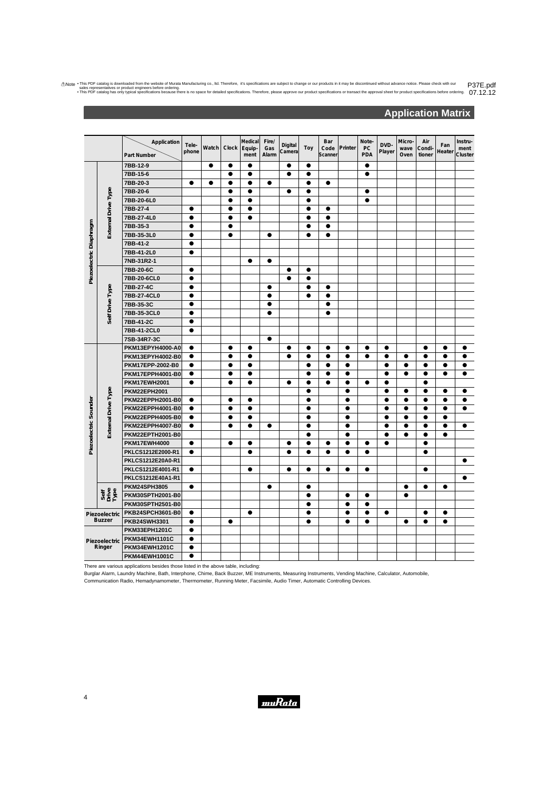## **Application Matrix**

<span id="page-5-0"></span>

|                         |                                | Application<br>Part Number              | Tele-<br>phone                                          | Watch     | Clock     | Medical<br>Equip-<br>ment | Fire/<br>Gas<br>Alarm | Digital<br>Camera | Toy       | Bar<br>Code<br>Scanner | Printer   | Note-<br>PC<br><b>PDA</b> | DVD-<br>Player | Micro-<br>wave<br>Oven | Air<br>Condi<br>tioner | Fan<br>Heater | Instru-<br>ment<br>Cluster |
|-------------------------|--------------------------------|-----------------------------------------|---------------------------------------------------------|-----------|-----------|---------------------------|-----------------------|-------------------|-----------|------------------------|-----------|---------------------------|----------------|------------------------|------------------------|---------------|----------------------------|
|                         |                                | 7BB-12-9                                |                                                         | $\bullet$ | $\bullet$ | $\bullet$                 |                       | $\bullet$         | $\bullet$ |                        |           | $\bullet$                 |                |                        |                        |               |                            |
|                         |                                | 7BB-15-6                                |                                                         |           | $\bullet$ | $\bullet$                 |                       | $\bullet$         | $\bullet$ |                        |           | $\bullet$                 |                |                        |                        |               |                            |
|                         |                                | 7BB-20-3                                | $\bullet$                                               | $\bullet$ | $\bullet$ | $\bullet$                 | $\bullet$             |                   | $\bullet$ | $\bullet$              |           |                           |                |                        |                        |               |                            |
|                         | External Drive Type            | 7BB-20-6                                |                                                         |           | $\bullet$ | $\bullet$                 |                       | $\bullet$         | $\bullet$ |                        |           | $\bullet$                 |                |                        |                        |               |                            |
|                         |                                | 7BB-20-6L0                              |                                                         |           | ●         | $\bullet$                 |                       |                   | $\bullet$ |                        |           | $\bullet$                 |                |                        |                        |               |                            |
|                         |                                | 7BB-27-4                                | $\bullet$                                               |           | 0         |                           |                       |                   |           |                        |           |                           |                |                        |                        |               |                            |
|                         |                                | 7BB-27-4L0                              | $\bullet$                                               |           | 0         | $\bullet$                 |                       |                   | e         | 0                      |           |                           |                |                        |                        |               |                            |
|                         |                                | 7BB-35-3                                | $\bullet$                                               |           | $\bullet$ |                           |                       |                   |           |                        |           |                           |                |                        |                        |               |                            |
|                         |                                | 7BB-35-3L0                              | $\bullet$                                               |           | $\bullet$ |                           | $\bullet$             |                   | ●         | $\bullet$              |           |                           |                |                        |                        |               |                            |
|                         |                                | 7BB-41-2                                | $\bullet$                                               |           |           |                           |                       |                   |           |                        |           |                           |                |                        |                        |               |                            |
|                         |                                | 7BB-41-2L0                              | $\bullet$                                               |           |           |                           |                       |                   |           |                        |           |                           |                |                        |                        |               |                            |
|                         |                                | 7NB-31R2-1                              |                                                         |           |           | $\bullet$                 | $\bullet$             |                   |           |                        |           |                           |                |                        |                        |               |                            |
|                         |                                | 7BB-20-6C                               | $\bullet$                                               |           |           |                           |                       | $\bullet$         | $\bullet$ |                        |           |                           |                |                        |                        |               |                            |
| Piezoelectric Diaphragm |                                | 7BB-20-6CL0                             | $\bullet$                                               |           |           |                           |                       | $\bullet$         | $\bullet$ |                        |           |                           |                |                        |                        |               |                            |
|                         |                                | 7BB-27-4C                               |                                                         |           |           |                           |                       |                   |           |                        |           |                           |                |                        |                        |               |                            |
|                         | Self Drive Type                | 7BB-27-4CL0                             | $\bullet$                                               |           |           |                           | $\bullet$             |                   | ●         |                        |           |                           |                |                        |                        |               |                            |
|                         |                                | 7BB-35-3C                               | $\bullet$                                               |           |           |                           | 0                     |                   |           |                        |           |                           |                |                        |                        |               |                            |
|                         |                                | 7BB-35-3CL0                             | $\bullet$                                               |           |           |                           | $\bullet$             |                   |           | $\bullet$              |           |                           |                |                        |                        |               |                            |
|                         |                                | 7BB-41-2C                               | $\bullet$                                               |           |           |                           |                       |                   |           |                        |           |                           |                |                        |                        |               |                            |
|                         |                                | 7BB-41-2CL0                             | $\bullet$                                               |           |           |                           |                       |                   |           |                        |           |                           |                |                        |                        |               |                            |
|                         |                                | 7SB-34R7-3C                             |                                                         |           |           |                           | $\bullet$             |                   |           |                        |           |                           |                |                        |                        |               |                            |
|                         |                                | PKM13EPYH4000-A0                        | $\bullet$                                               |           | $\bullet$ | $\bullet$                 |                       |                   | $\bullet$ | $\bullet$              | $\bullet$ | $\bullet$                 | $\bullet$      |                        | $\bullet$              | $\bullet$     |                            |
|                         |                                | PKM13EPYH4002-B0                        | $\bullet$                                               |           | $\bullet$ | $\bullet$                 |                       | $\bullet$         | ●         | $\bullet$              | $\bullet$ | $\bullet$                 | $\bullet$      | $\bullet$              | $\bullet$              | ●             | ●                          |
|                         |                                | PKM17EPP-2002-B0                        | $\bullet$                                               |           | 0         |                           |                       |                   | 0         |                        | $\bullet$ |                           | 0              | ●                      |                        | 0             |                            |
|                         |                                | PKM17EPPH4001-B0                        | $\bullet$                                               |           | 0         |                           |                       |                   | e         |                        | $\bullet$ |                           | 0              | 0                      | 0                      | $\bullet$     |                            |
|                         |                                | <b>PKM17EWH2001</b>                     | $\bullet$                                               |           | $\bullet$ | $\bullet$                 |                       | $\bullet$         | $\bullet$ | $\bullet$              | $\bullet$ | $\bullet$                 | $\bullet$      |                        | $\bullet$              |               |                            |
|                         |                                | <b>PKM22EPH2001</b>                     |                                                         |           |           |                           |                       |                   | $\bullet$ |                        | $\bullet$ |                           | $\bullet$      | $\bullet$              | $\bullet$              | $\bullet$     | $\bullet$                  |
| Piezoelectric Sounder   | External Drive Type            | PKM22EPPH2001-B0                        | $\bullet$                                               |           | 0         | $\bullet$                 |                       |                   | $\bullet$ |                        | $\bullet$ |                           | $\bullet$      | $\bullet$              | $\bullet$              | $\bullet$     | $\bullet$                  |
|                         |                                | PKM22EPPH4001-B0                        | $\bullet$                                               |           | $\bullet$ | $\bullet$                 |                       |                   | $\bullet$ |                        | $\bullet$ |                           | $\bullet$      | $\bullet$              | $\bullet$              | $\bullet$     | $\bullet$                  |
|                         |                                | PKM22EPPH4005-B0                        | $\bullet$                                               |           | $\bullet$ | $\bullet$                 |                       |                   | $\bullet$ |                        | $\bullet$ |                           | $\bullet$      | $\bullet$              | $\bullet$              | $\bullet$     |                            |
|                         |                                | PKM22EPPH4007-B0                        | $\bullet$                                               |           | $\bullet$ | $\bullet$                 | $\bullet$             |                   | $\bullet$ |                        | $\bullet$ |                           | $\bullet$      | $\bullet$              | $\bullet$              | $\bullet$     | $\bullet$                  |
|                         |                                | PKM22EPTH2001-B0                        |                                                         |           |           |                           |                       |                   | $\bullet$ |                        | $\bullet$ |                           | $\bullet$      | $\bullet$              | $\bullet$              | $\bullet$     |                            |
|                         |                                | <b>PKM17EWH4000</b>                     | $\bullet$                                               |           | $\bullet$ |                           |                       |                   | $\bullet$ |                        | $\bullet$ | $\bullet$                 | $\bullet$      |                        | $\bullet$              |               |                            |
|                         |                                | PKLCS1212E2000-R1                       | $\bullet$                                               |           |           | $\bullet$                 |                       | 0                 | ●         |                        | $\bullet$ | $\bullet$                 |                |                        | ●                      |               |                            |
|                         |                                | PKLCS1212E20A0-R1                       |                                                         |           |           |                           |                       |                   |           |                        |           |                           |                |                        |                        |               | $\bullet$                  |
|                         |                                | PKLCS1212E4001-R1<br>PKLCS1212E40A1-R1  | $\bullet$                                               |           |           | $\bullet$                 |                       | $\bullet$         | $\bullet$ | $\bullet$              | $\bullet$ | $\bullet$                 |                |                        | $\bullet$              |               |                            |
|                         | Self<br>Drive<br>Type          |                                         |                                                         |           |           |                           | $\bullet$             |                   | $\bullet$ |                        |           |                           |                |                        |                        |               |                            |
|                         |                                | <b>PKM24SPH3805</b><br>PKM30SPTH2001-B0 | $\bullet$                                               |           |           |                           |                       |                   | $\bullet$ |                        | $\bullet$ | $\bullet$                 |                | $\bullet$<br>$\bullet$ | $\bullet$              | $\bullet$     |                            |
|                         |                                | PKM30SPTH2501-B0                        |                                                         |           |           |                           |                       |                   | $\bullet$ |                        | $\bullet$ | $\bullet$                 |                |                        |                        |               |                            |
|                         |                                |                                         |                                                         |           |           | $\bullet$                 |                       |                   | $\bullet$ |                        | $\bullet$ | $\bullet$                 | $\bullet$      |                        | $\bullet$              | $\bullet$     |                            |
|                         | Piezoelectric<br><b>Buzzer</b> | <b>PKB24SWH3301</b>                     | PKB24SPCH3601-B0<br>$\bullet$<br>$\bullet$<br>$\bullet$ |           |           | $\bullet$                 |                       | $\bullet$         | $\bullet$ |                        | $\bullet$ | $\bullet$                 | $\bullet$      |                        |                        |               |                            |
|                         |                                | <b>PKM33EPH1201C</b>                    | $\bullet$                                               |           |           |                           |                       |                   |           |                        |           |                           |                |                        |                        |               |                            |
|                         |                                | <b>PKM34EWH1101C</b>                    | $\bullet$                                               |           |           |                           |                       |                   |           |                        |           |                           |                |                        |                        |               |                            |
|                         | Piezoelectric<br>Ringer        | <b>PKM34EWH1201C</b>                    | $\bullet$                                               |           |           |                           |                       |                   |           |                        |           |                           |                |                        |                        |               |                            |
|                         |                                | PKM44EWH1001C                           | $\bullet$                                               |           |           |                           |                       |                   |           |                        |           |                           |                |                        |                        |               |                            |
|                         |                                |                                         |                                                         |           |           |                           |                       |                   |           |                        |           |                           |                |                        |                        |               |                            |

There are various applications besides those listed in the above table, including:

Burglar Alarm, Laundry Machine, Bath, Interphone, Chime, Back Buzzer, ME Instruments, Measuring Instruments, Vending Machine, Calculator, Automobile,

Communication Radio, Hemadynamometer, Thermometer, Running Meter, Facsimile, Audio Timer, Automatic Controlling Devices.

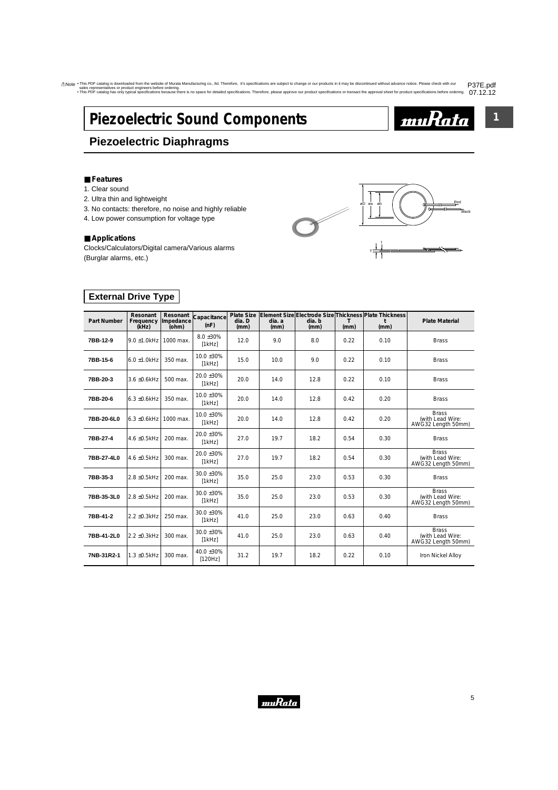# <span id="page-6-0"></span>**Piezoelectric Sound Components**

# **Piezoelectric Diaphragms**

### ■ **Features**

- 1. Clear sound
- 2. Ultra thin and lightweight
- 3. No contacts: therefore, no noise and highly reliable
- 4. Low power consumption for voltage type

### ■ **Applications**

Clocks/Calculators/Digital camera/Various alarms (Burglar alarms, etc.)



**1**

<u>muRata</u>

## **External Drive Type**

| <b>Part Number</b> | Resonant<br>Frequency<br>(kHz) | Resonant<br>Impedance<br>(ohm) | Capacitance<br>(nF)       | <b>Plate Size</b><br>dia. D<br>(mm) | dia. a<br>(mm) | dia. b<br>(mm) | (mm) | Element Size Electrode Size Thickness Plate Thickness<br>(mm) | <b>Plate Material</b>                                  |
|--------------------|--------------------------------|--------------------------------|---------------------------|-------------------------------------|----------------|----------------|------|---------------------------------------------------------------|--------------------------------------------------------|
| 7BB-12-9           | $9.0 \pm 1.0$ kHz              | 1000 max.                      | $8.0 \pm 30\%$<br>[1kHz]  | 12.0                                | 9.0            | 8.0            | 0.22 | 0.10                                                          | <b>Brass</b>                                           |
| 7BB-15-6           | $6.0 \pm 1.0$ kHz              | 350 max.                       | 10.0 ±30%<br>[1kHz]       | 15.0                                | 10.0           | 9.0            | 0.22 | 0.10                                                          | <b>Brass</b>                                           |
| 7BB-20-3           | 3.6 ±0.6kHz                    | 500 max.                       | $20.0 \pm 30\%$<br>[1kHz] | 20.0                                | 14.0           | 12.8           | 0.22 | 0.10                                                          | <b>Brass</b>                                           |
| 7BB-20-6           | $6.3 \pm 0.6$ kHz              | 350 max.                       | $10.0 \pm 30\%$<br>[1kHz] | 20.0                                | 14.0           | 12.8           | 0.42 | 0.20                                                          | <b>Brass</b>                                           |
| 7BB-20-6L0         | $6.3 \pm 0.6$ kHz              | 1000 max.                      | $10.0 \pm 30\%$<br>[1kHz] | 20.0                                | 14.0           | 12.8           | 0.42 | 0.20                                                          | <b>Brass</b><br>(with Lead Wire:<br>AWG32 Length 50mm) |
| 7BB-27-4           | 4.6 ±0.5kHz                    | 200 max.                       | 20.0 ±30%<br>[1kHz]       | 27.0                                | 19.7           | 18.2           | 0.54 | 0.30                                                          | <b>Brass</b>                                           |
| 7BB-27-4L0         | 4.6 ±0.5kHz                    | 300 max.                       | 20.0 ±30%<br>[1kHz]       | 27.0                                | 19.7           | 18.2           | 0.54 | 0.30                                                          | <b>Brass</b><br>(with Lead Wire:<br>AWG32 Length 50mm) |
| 7BB-35-3           | 2.8 ±0.5kHz                    | 200 max.                       | 30.0 ±30%<br>[1kHz]       | 35.0                                | 25.0           | 23.0           | 0.53 | 0.30                                                          | <b>Brass</b>                                           |
| 7BB-35-3L0         | 2.8 ±0.5kHz                    | 200 max.                       | 30.0 ±30%<br>[1kHz]       | 35.0                                | 25.0           | 23.0           | 0.53 | 0.30                                                          | <b>Brass</b><br>(with Lead Wire:<br>AWG32 Length 50mm) |
| 7BB-41-2           | 2.2 ±0.3kHz                    | 250 max.                       | 30.0 ±30%<br>[1kHz]       | 41.0                                | 25.0           | 23.0           | 0.63 | 0.40                                                          | <b>Brass</b>                                           |
| 7BB-41-2L0         | $2.2 \pm 0.3$ kHz              | 300 max.                       | $30.0 \pm 30\%$<br>[1kHz] | 41.0                                | 25.0           | 23.0           | 0.63 | 0.40                                                          | <b>Brass</b><br>(with Lead Wire:<br>AWG32 Length 50mm) |
| 7NB-31R2-1         | 1.3 ±0.5kHz                    | 300 max.                       | 40.0 ±30%<br>[120Hz]      | 31.2                                | 19.7           | 18.2           | 0.22 | 0.10                                                          | Iron Nickel Alloy                                      |

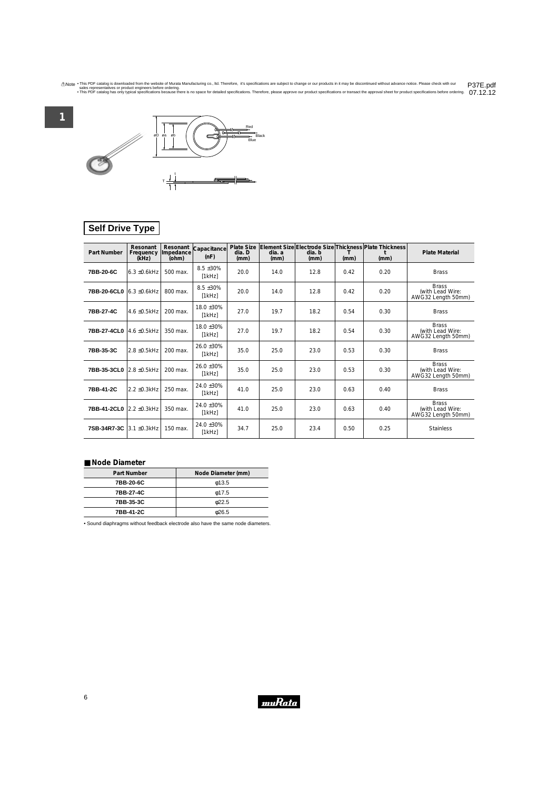<span id="page-7-0"></span>

# **Self Drive Type**

| Part Number                           | Resonant<br>Frequency<br>(kHz) | Resonant<br>Impedance<br>(ohm) | Capacitance<br>(nF)       | <b>Plate Size</b><br>dia. D<br>(mm) | dia. a<br>(mm) | dia. b<br>(mm) | т<br>(mm) | Element Size Electrode Size Thickness Plate Thickness<br>(mm) | <b>Plate Material</b>                                  |
|---------------------------------------|--------------------------------|--------------------------------|---------------------------|-------------------------------------|----------------|----------------|-----------|---------------------------------------------------------------|--------------------------------------------------------|
| 7BB-20-6C                             | $6.3 + 0.6$ kHz                | 500 max.                       | $8.5 \pm 30\%$<br>[1kHz]  | 20.0                                | 14.0           | 12.8           | 0.42      | 0.20                                                          | <b>Brass</b>                                           |
| 7BB-20-6CL0   6.3 ±0.6kHz             |                                | 800 max.                       | $8.5 \pm 30\%$<br>[1kHz]  | 20.0                                | 14.0           | 12.8           | 0.42      | 0.20                                                          | <b>Brass</b><br>(with Lead Wire:<br>AWG32 Length 50mm) |
| 7BB-27-4C                             | $4.6 \pm 0.5$ kHz              | 200 max.                       | $18.0 + 30%$<br>[1kHz]    | 27.0                                | 19.7           | 18.2           | 0.54      | 0.30                                                          | <b>Brass</b>                                           |
| 7BB-27-4CL0 4.6 ±0.5kHz               |                                | 350 max.                       | 18.0 ±30%<br>[1kHz]       | 27.0                                | 19.7           | 18.2           | 0.54      | 0.30                                                          | <b>Brass</b><br>(with Lead Wire:<br>AWG32 Length 50mm) |
| 7BB-35-3C                             | 2.8 ±0.5kHz                    | 200 max.                       | $26.0 \pm 30\%$<br>[1kHz] | 35.0                                | 25.0           | 23.0           | 0.53      | 0.30                                                          | <b>Brass</b>                                           |
| 7BB-35-3CL0                           | 2.8 ±0.5kHz                    | 200 max.                       | $26.0 \pm 30\%$<br>[1kHz] | 35.0                                | 25.0           | 23.0           | 0.53      | 0.30                                                          | <b>Brass</b><br>(with Lead Wire:<br>AWG32 Length 50mm) |
| 7BB-41-2C                             | $2.2 \pm 0.3$ kHz              | 250 max.                       | 24.0 ±30%<br>[1kHz]       | 41.0                                | 25.0           | 23.0           | 0.63      | 0.40                                                          | <b>Brass</b>                                           |
| <b>7BB-41-2CL0</b> $ 2.2 \pm 0.3$ kHz |                                | 350 max.                       | 24.0 ±30%<br>[1kHz]       | 41.0                                | 25.0           | 23.0           | 0.63      | 0.40                                                          | <b>Brass</b><br>(with Lead Wire:<br>AWG32 Length 50mm) |
| 7SB-34R7-3C                           | 3.1 ±0.3kHz                    | 150 max.                       | 24.0 ±30%<br>[1kHz]       | 34.7                                | 25.0           | 23.4           | 0.50      | 0.25                                                          | <b>Stainless</b>                                       |

### ■ **Node Diameter**

| Part Number | Node Diameter (mm) |
|-------------|--------------------|
| 7BB-20-6C   | $\phi$ 13.5        |
| 7BB-27-4C   | $\phi$ 17.5        |
| 7BB-35-3C   | 022.5              |
| 7BB-41-2C   | &0.26.5            |

• Sound diaphragms without feedback electrode also have the same node diameters.

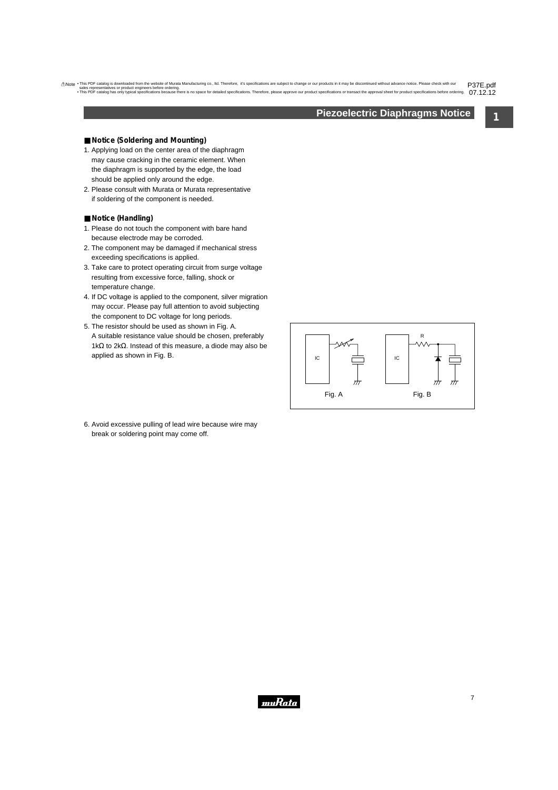## **Piezoelectric Diaphragms Notice**

**1**

### <span id="page-8-0"></span>■ **Notice** (Soldering and Mounting)

- 1. Applying load on the center area of the diaphragm may cause cracking in the ceramic element. When the diaphragm is supported by the edge, the load should be applied only around the edge.
- 2. Please consult with Murata or Murata representative if soldering of the component is needed.

### ■ **Notice (Handling)**

- 1. Please do not touch the component with bare hand because electrode may be corroded.
- 2. The component may be damaged if mechanical stress exceeding specifications is applied.
- 3. Take care to protect operating circuit from surge voltage resulting from excessive force, falling, shock or temperature change.
- 4. If DC voltage is applied to the component, silver migration may occur. Please pay full attention to avoid subjecting the component to DC voltage for long periods.
- 5. The resistor should be used as shown in Fig. A. A suitable resistance value should be chosen, preferably 1kΩ to 2kΩ. Instead of this measure, a diode may also be applied as shown in Fig. B.



6. Avoid excessive pulling of lead wire because wire may break or soldering point may come off.

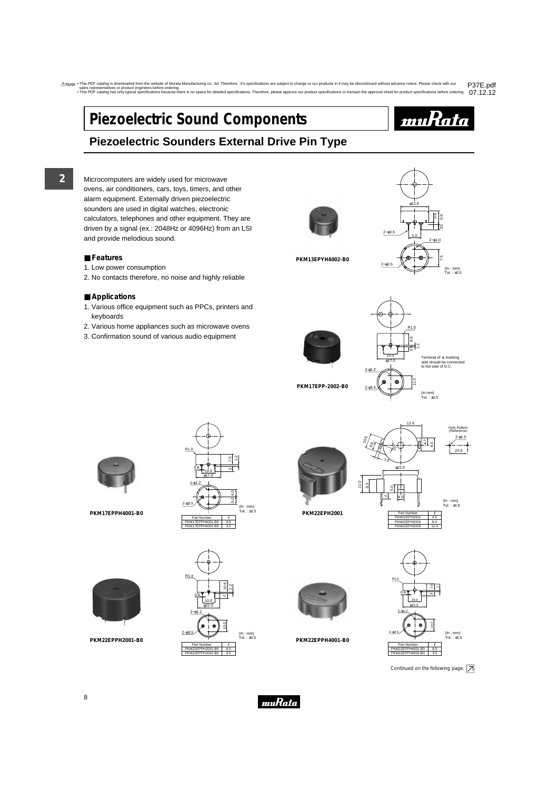# <span id="page-9-0"></span>**Piezoelectric Sound Components**



# **Piezoelectric Sounders External Drive Pin Type**

**2**

Microcomputers are widely used for microwave ovens, air conditioners, cars, toys, timers, and other alarm equipment. Externally driven piezoelectric sounders are used in digital watches, electronic calculators, telephones and other equipment. They are driven by a signal (ex.: 2048Hz or 4096Hz) from an LSI and provide melodious sound.

### ■ **Features**

- 1. Low power consumption
- 2. No contacts therefore, no noise and highly reliable

### ■ **Applications**

- 1. Various office equipment such as PPCs, printers and keyboards
- 2. Various home appliances such as microwave ovens
- 3. Confirmation sound of various audio equipment



**PKM13EPYH4002-B0**







**PKM17EPP-2002-B0**



Tol. : <sup>±</sup>0.5 **PKM17EPPH4001-B0**





11.0



12.6

Hole Pattern





**PKM22EPPH4001-B0**



Continued on the following page.  $\boxed{\nearrow}$ 



**PKM22EPPH2001-B0**



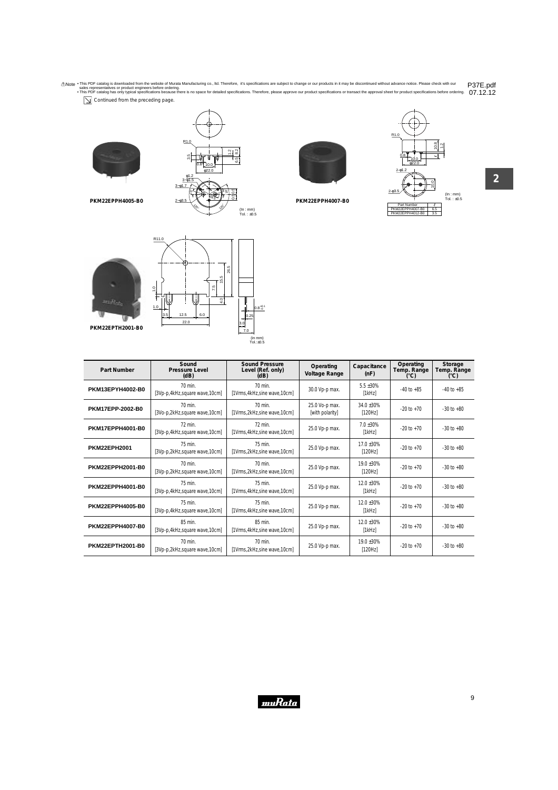$\boxed{\searrow}$  Continued from the preceding page.









**2**



1.0

**PKM22EPPH4005-B0**



| Part Number         | Sound<br><b>Pressure Level</b><br>(dB)   | <b>Sound Pressure</b><br>Level (Ref. only)<br>(dB) | Operating<br><b>Voltage Range</b> | Capacitance<br>(nF)      | Operating<br>Temp. Range<br>(°C) | Storage<br>Temp. Range<br>(°C) |
|---------------------|------------------------------------------|----------------------------------------------------|-----------------------------------|--------------------------|----------------------------------|--------------------------------|
| PKM13EPYH4002-B0    | 70 min.<br>[3Vp-p,4kHz,square wave,10cm] | 70 min.<br>[1Vrms, 4kHz, sine wave, 10cm]          | 30.0 Vp-p max.                    | $5.5 \pm 30\%$<br>[1kHz] | $-40$ to $+85$                   | $-40$ to $+85$                 |
| PKM17EPP-2002-B0    | 70 min.<br>[3Vo-p,2kHz,square wave,10cm] | 70 min.<br>[1Vrms,2kHz,sine wave,10cm]             | 25.0 Vo-p max.<br>[with polarity] | 34.0 ±30%<br>[120Hz]     | $-20$ to $+70$                   | $-30$ to $+80$                 |
| PKM17EPPH4001-B0    | 72 min.<br>[3Vp-p,4kHz,square wave,10cm] | 72 min.<br>[1Vrms, 4kHz, sine wave, 10cm]          | 25.0 Vp-p max.                    | $7.0 + 30%$<br>[1kHz]    | $-20$ to $+70$                   | $-30$ to $+80$                 |
| <b>PKM22EPH2001</b> | 75 min.<br>[3Vp-p,2kHz,square wave,10cm] | 75 min.<br>[1Vrms,2kHz,sine wave,10cm]             | 25.0 Vp-p max.                    | 17.0 ±30%<br>[120Hz]     | $-20$ to $+70$                   | $-30$ to $+80$                 |
| PKM22EPPH2001-B0    | 70 min.<br>[3Vp-p,2kHz,square wave,10cm] | 70 min.<br>[1Vrms,2kHz,sine wave,10cm]             | 25.0 Vp-p max.                    | $19.0 + 30%$<br>[120Hz]  | $-20$ to $+70$                   | $-30$ to $+80$                 |
| PKM22EPPH4001-B0    | 75 min.<br>[3Vp-p,4kHz,square wave,10cm] | 75 min.<br>[1Vrms, 4kHz, sine wave, 10cm]          | 25.0 Vp-p max.                    | 12.0 ±30%<br>[1kHz]      | $-20$ to $+70$                   | $-30$ to $+80$                 |
| PKM22EPPH4005-B0    | 75 min.<br>[3Vp-p,4kHz,square wave,10cm] | 75 min.<br>[1Vrms, 4kHz, sine wave, 10cm]          | 25.0 Vp-p max.                    | $12.0 + 30%$<br>[1kHz]   | $-20$ to $+70$                   | $-30$ to $+80$                 |
| PKM22EPPH4007-B0    | 85 min.<br>[3Vp-p,4kHz,square wave,10cm] | 85 min.<br>[1Vrms, 4kHz, sine wave, 10cm]          | 25.0 Vp-p max.                    | 12.0 ±30%<br>[1kHz]      | $-20$ to $+70$                   | $-30$ to $+80$                 |
| PKM22EPTH2001-B0    | 70 min.<br>[3Vp-p,2kHz,square wave,10cm] | 70 min.<br>[1Vrms,2kHz,sine wave,10cm]             | 25.0 Vp-p max.                    | 19.0 ±30%<br>[120Hz]     | $-20$ to $+70$                   | $-30$ to $+80$                 |

muRata

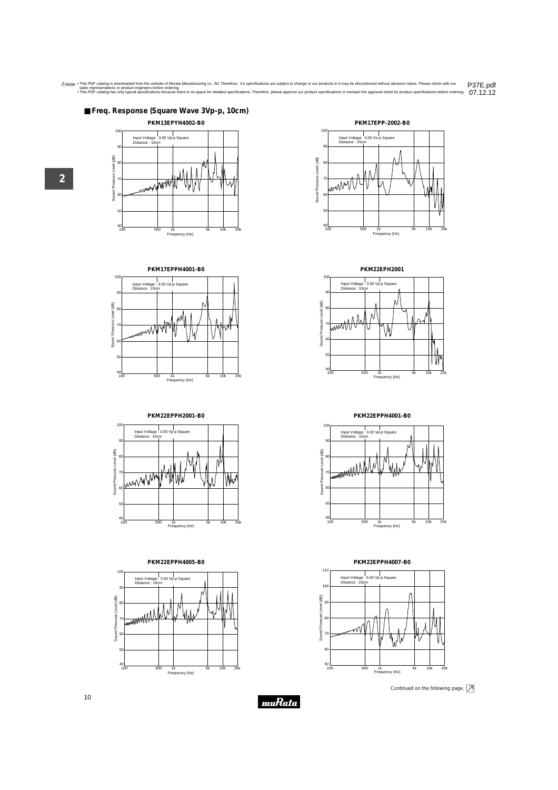



















**PKM22EPH2001**



**PKM22EPPH4001-B0**







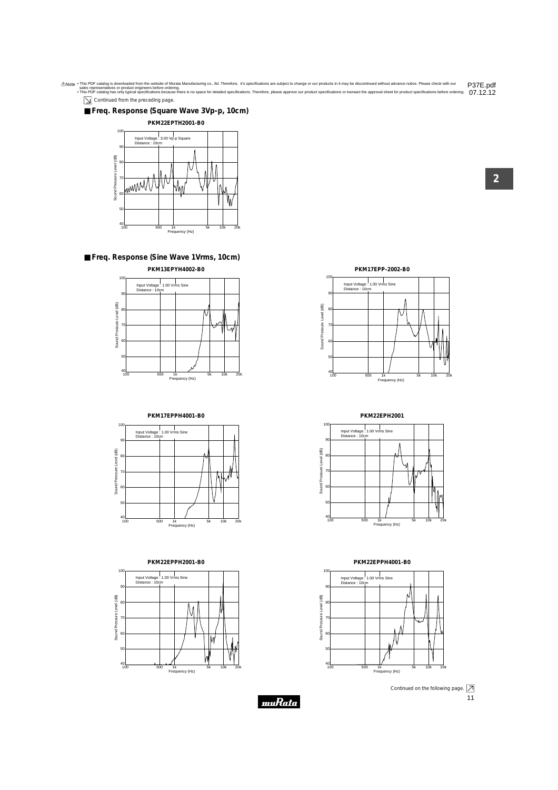$\boxed{\searrow}$  Continued from the preceding page.

### ■ **Freq. Response (Square Wave 3Vp-p, 10cm)**



### ■ **Freq. Response (Sine Wave 1Vrms, 10cm) PKM13EPYH4002-B0**



### **PKM17EPPH4001-B0**



### **PKM22EPPH2001-B0**



**PKM17EPP-2002-B0**



**PKM22EPH2001**



**PKM22EPPH4001-B0**



muRata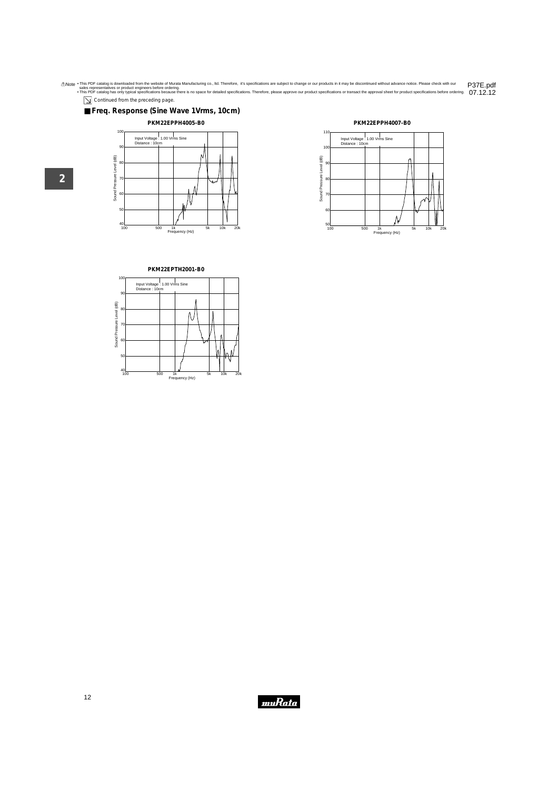$\boxed{\searrow}$  Continued from the preceding page.

■ **Freq. Response (Sine Wave 1Vrms, 10cm)**

### **PKM22EPPH4005-B0**









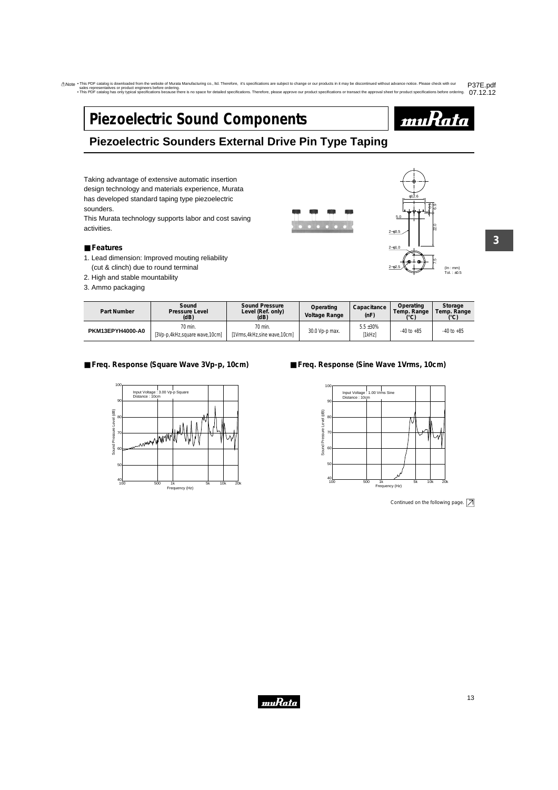# <span id="page-14-0"></span>**Piezoelectric Sound Components**



# **Piezoelectric Sounders External Drive Pin Type Taping**

Taking advantage of extensive automatic insertion design technology and materials experience, Murata has developed standard taping type piezoelectric sounders.

This Murata technology supports labor and cost saving activities.

### ■ **Features**

- 1. Lead dimension: Improved mouting reliability (cut & clinch) due to round terminal
- 2. High and stable mountability
- 3. Ammo packaging





**3**

| Part Number      | Sound<br>Pressure Level<br>(dB)          | Sound Pressure<br>Level (Ref. only)<br>(dB) | Operating<br><b>Voltage Range</b> | Capacitance<br>(nF)      | Operating<br>Temp. Range<br>U | Storage<br>Temp. Range<br>(°C) |
|------------------|------------------------------------------|---------------------------------------------|-----------------------------------|--------------------------|-------------------------------|--------------------------------|
| PKM13EPYH4000-A0 | 70 min.<br>[3Vp-p,4kHz,square wave,10cm] | 70 min.<br>[1Vrms, 4kHz, sine wave, 10cm]   | 30.0 Vp-p max.                    | $5.5 \pm 30\%$<br>[1kHz] | $-40$ to $+85$                | $-40$ to $+85$                 |

### ■ **Freq. Response (Square Wave 3Vp-p, 10cm)**



## ■ **Freq. Response (Sine Wave 1Vrms, 10cm)**



Continued on the following page.  $\boxed{\nearrow}$ 

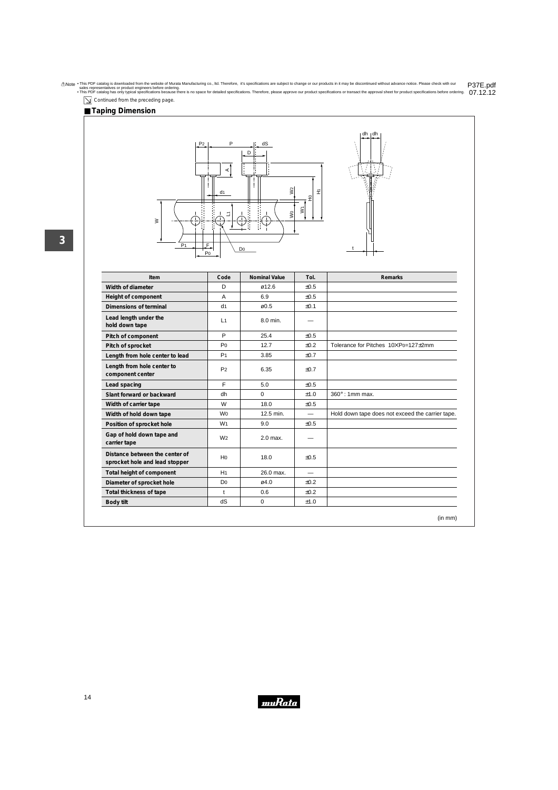$\boxed{\searrow}$  Continued from the preceding page.

## ■ **Taping Dimension**







| Item                                                             | Code           | <b>Nominal Value</b> | Tol.                     | Remarks                                          |
|------------------------------------------------------------------|----------------|----------------------|--------------------------|--------------------------------------------------|
| Width of diameter                                                | D              | ø12.6                | ±0.5                     |                                                  |
| Height of component                                              | A              | 6.9                  | ±0.5                     |                                                  |
| Dimensions of terminal                                           | d <sub>1</sub> | $\varnothing$ 0.5    | ±0.1                     |                                                  |
| Lead length under the<br>hold down tape                          | L1             | 8.0 min.             |                          |                                                  |
| Pitch of component                                               | P              | 25.4                 | $+0.5$                   |                                                  |
| Pitch of sprocket                                                | P <sub>0</sub> | 12.7                 | ±0.2                     | Tolerance for Pitches 10XPo=127±2mm              |
| Length from hole center to lead                                  | P <sub>1</sub> | 3.85                 | ±0.7                     |                                                  |
| Length from hole center to<br>component center                   | P <sub>2</sub> | 6.35                 | ±0.7                     |                                                  |
| Lead spacing                                                     | F              | 5.0                  | ±0.5                     |                                                  |
| Slant forward or backward                                        | dh             | $\Omega$             | ±1.0                     | $360^\circ$ : 1mm max.                           |
| Width of carrier tape                                            | W              | 18.0                 | ±0.5                     |                                                  |
| Width of hold down tape                                          | W <sub>0</sub> | 12.5 min.            | $\overline{\phantom{0}}$ | Hold down tape does not exceed the carrier tape. |
| Position of sprocket hole                                        | W <sub>1</sub> | 9.0                  | $+0.5$                   |                                                  |
| Gap of hold down tape and<br>carrier tape                        | W <sub>2</sub> | 2.0 max.             |                          |                                                  |
| Distance between the center of<br>sprocket hole and lead stopper | H <sub>0</sub> | 18.0                 | ±0.5                     |                                                  |
| Total height of component                                        | H1             | 26.0 max.            | $\overline{\phantom{0}}$ |                                                  |
| Diameter of sprocket hole                                        | D <sub>0</sub> | ø4.0                 | ±0.2                     |                                                  |
| Total thickness of tape                                          | $\mathbf{t}$   | 0.6                  | ±0.2                     |                                                  |
| Body tilt                                                        | dS             | 0                    | ±1.0                     |                                                  |

muRata

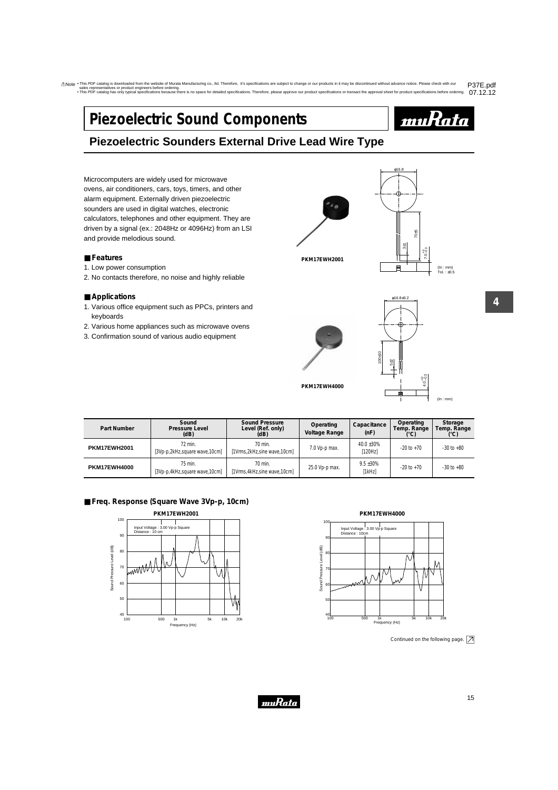# <span id="page-16-0"></span>**Piezoelectric Sound Components**



# **Piezoelectric Sounders External Drive Lead Wire Type**

Microcomputers are widely used for microwave ovens, air conditioners, cars, toys, timers, and other alarm equipment. Externally driven piezoelectric sounders are used in digital watches, electronic calculators, telephones and other equipment. They are driven by a signal (ex.: 2048Hz or 4096Hz) from an LSI and provide melodious sound.

### ■ **Features**

- 1. Low power consumption
- 2. No contacts therefore, no noise and highly reliable

### ■ **Applications**

- 1. Various office equipment such as PPCs, printers and keyboards
- 2. Various home appliances such as microwave ovens
- 3. Confirmation sound of various audio equipment





(In : mm) Tol. : ±0.5





**4**

| Part Number         | Sound<br>Pressure Level<br>(dB)          | <b>Sound Pressure</b><br>Level (Ref. only)<br>(dB) | Operating<br>Voltage Range | Capacitance<br>(nF)      | Operating<br>Temp. Range<br>(°C) | Storage<br>Temp. Range |
|---------------------|------------------------------------------|----------------------------------------------------|----------------------------|--------------------------|----------------------------------|------------------------|
| <b>PKM17EWH2001</b> | 72 min.<br>[3Vp-p,2kHz,square wave,10cm] | 70 min.<br>[1Vrms,2kHz,sine wave,10cm]             | 7.0 Vp-p max.              | 40.0 ±30%<br>[120Hz]     | $-20$ to $+70$                   | $-30$ to $+80$         |
| <b>PKM17EWH4000</b> | 75 min.<br>[3Vp-p,4kHz,square wave,10cm] | 70 min.<br>1Vrms, 4kHz, sine wave, 10cm]           | 25.0 Vp-p max.             | $9.5 \pm 30\%$<br>[1kHz] | $-20$ to $+70$                   | $-30$ to $+80$         |

## ■ **Freq. Response (Square Wave 3Vp-p, 10cm)**





Continued on the following page.  $\boxed{\nearrow}$ 

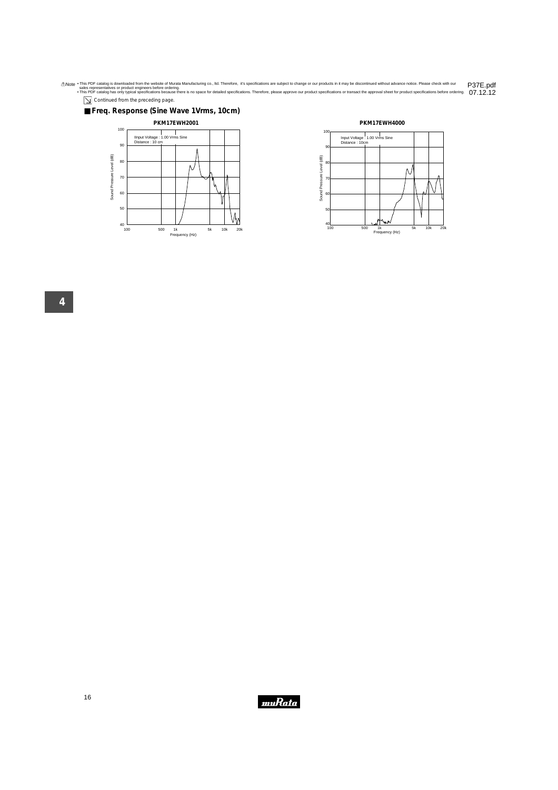$\boxed{\searrow}$  Continued from the preceding page.







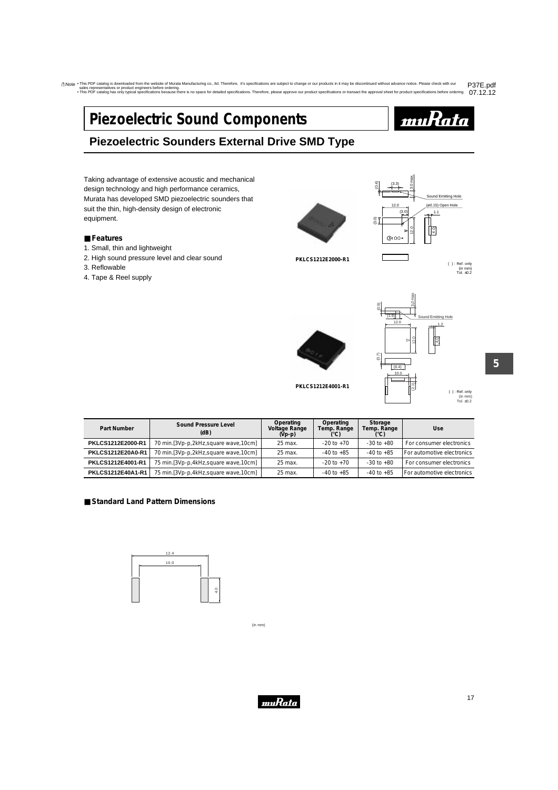# <span id="page-18-0"></span>**Piezoelectric Sound Components**



# **Piezoelectric Sounders External Drive SMD Type**

Taking advantage of extensive acoustic and mechanical design technology and high performance ceramics, Murata has developed SMD piezoelectric sounders that suit the thin, high-density design of electronic equipment.

### ■ **Features**

- 1. Small, thin and lightweight
- 2. High sound pressure level and clear sound
- 3. Reflowable
- 4. Tape & Reel supply

( ) : Ref. only **PKLCS1212E2000-R1**



Tol. ±0.2 (in mm)





(in mm) Tol. ±0.2 ( ) : Ref. only

**5**

| Part Number       | Sound Pressure Level<br>(dB)             |         | Operating<br>Temp. Range<br>(°C) | Storage<br>Temp. Range<br>(°C) | <b>Use</b>                 |
|-------------------|------------------------------------------|---------|----------------------------------|--------------------------------|----------------------------|
| PKLCS1212E2000-R1 | 70 min.[3Vp-p,2kHz,square wave,10cm]     | 25 max. | $-20$ to $+70$                   | $-30$ to $+80$                 | For consumer electronics   |
| PKLCS1212E20A0-R1 | 70 min. [3Vp-p, 2kHz, square wave, 10cm] | 25 max. | $-40$ to $+85$                   | $-40$ to $+85$                 | For automotive electronics |
| PKLCS1212E4001-R1 | 75 min. [3Vp-p, 4kHz, square wave, 10cm] | 25 max. | $-20$ to $+70$                   | $-30$ to $+80$                 | For consumer electronics   |
| PKLCS1212E40A1-R1 | 75 min. [3Vp-p, 4kHz, square wave, 10cm] | 25 max. | $-40$ to $+85$                   | $-40$ to $+85$                 | For automotive electronics |

### ■ **Standard Land Pattern Dimensions**



(in mm)

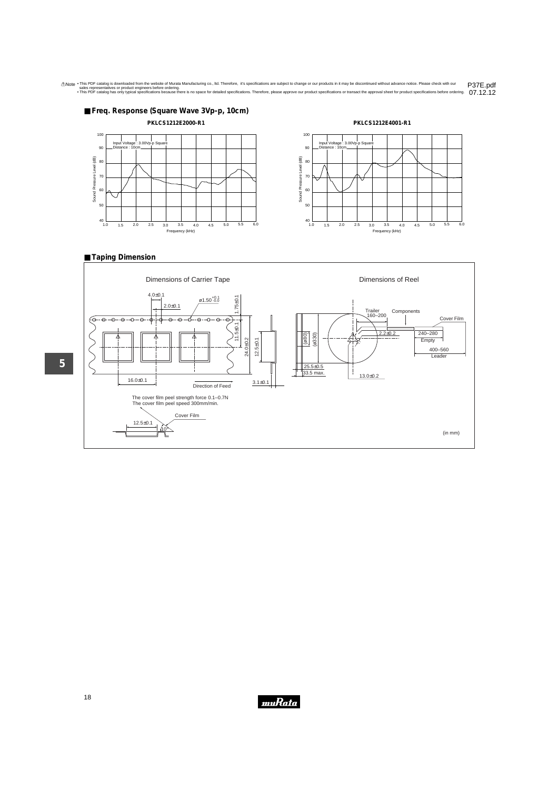

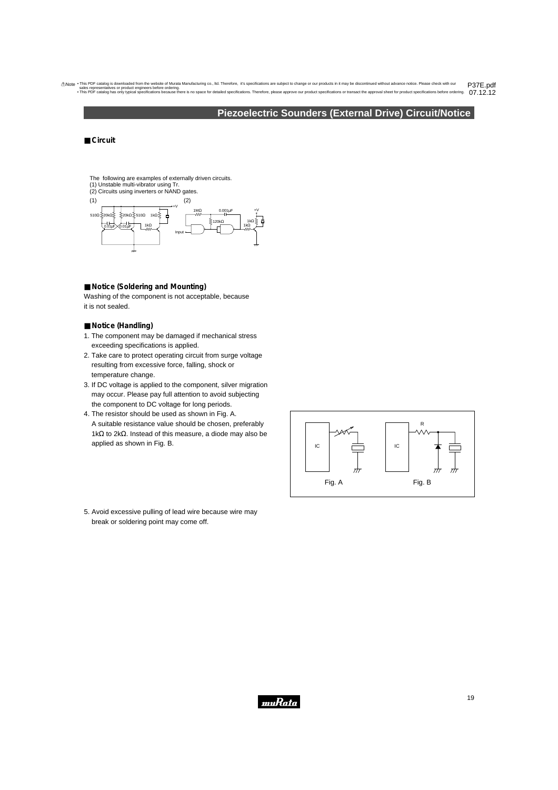## **Piezoelectric Sounders (External Drive) Circuit/Notice**

### <span id="page-20-0"></span>■ Circuit

- The following are examples of externally driven circuits. (1) Unstable multi-vibrator using Tr.
- (2) Circuits using inverters or NAND gates.



### ■ **Notice (Soldering and Mounting)**

Washing of the component is not acceptable, because it is not sealed.

### ■ **Notice** (Handling)

- 1. The component may be damaged if mechanical stress exceeding specifications is applied.
- 2. Take care to protect operating circuit from surge voltage resulting from excessive force, falling, shock or temperature change.
- 3. If DC voltage is applied to the component, silver migration may occur. Please pay full attention to avoid subjecting the component to DC voltage for long periods.
- 4. The resistor should be used as shown in Fig. A. A suitable resistance value should be chosen, preferably 1kΩ to 2kΩ. Instead of this measure, a diode may also be applied as shown in Fig. B.



5. Avoid excessive pulling of lead wire because wire may break or soldering point may come off.

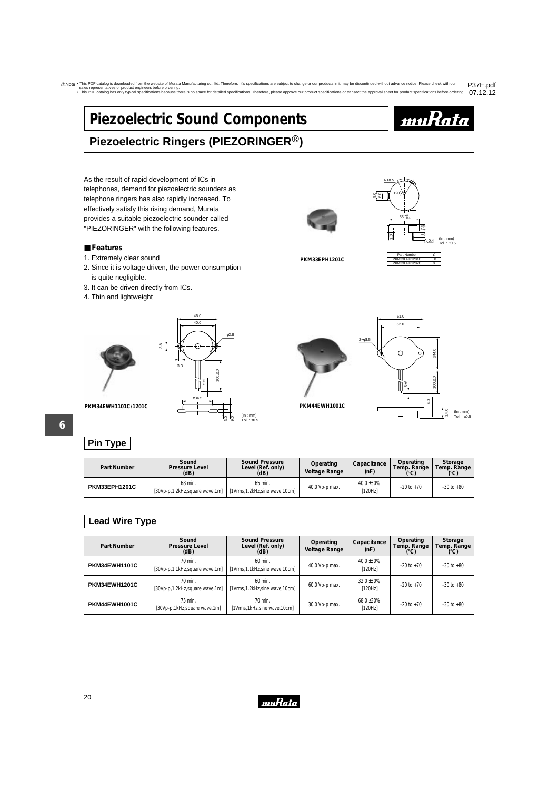# <span id="page-21-0"></span>**Piezoelectric Sound Components**



# **Piezoelectric Ringers (PIEZORINGER<sup>®</sup>)**

As the result of rapid development of ICs in telephones, demand for piezoelectric sounders as telephone ringers has also rapidly increased. To effectively satisfy this rising demand, Murata provides a suitable piezoelectric sounder called "PIEZORINGER" with the following features.

### ■ **Features**

- 1. Extremely clear sound
- 2. Since it is voltage driven, the power consumption is quite negligible.
- 3. It can be driven directly from ICs.
- 4. Thin and lightweight



# **Pin Type**

| Part Number   | Sound<br><b>Pressure Level</b><br>(dB)      | <b>Sound Pressure</b><br>Level (Ref. only)<br>(dB) | Operating<br><b>Voltage Range</b> | Capacitance<br>(nF)             | Operating<br>Temp. Range<br>(°C) | Storage<br>Temp. Range |
|---------------|---------------------------------------------|----------------------------------------------------|-----------------------------------|---------------------------------|----------------------------------|------------------------|
| PKM33EPH1201C | 68 min.<br>[30Vp-p.1.2kHz, square wave, 1m] | 65 min.<br>[1Vrms, 1.2kHz, sine wave, 10cm]        | 40.0 Vp-p max.                    | 40.0 ±30%<br><sup>1</sup> 120Hz | $-20$ to $+70$                   | $-30$ to $+80$         |

(In : mm) Tol. : ±0.5

# **Lead Wire Type**

| Part Number          | Sound<br>Pressure Level<br>(dB)             | <b>Sound Pressure</b><br>Level (Ref. only)<br>(dB) | Operating<br>Voltage Range | Capacitance<br>(nF)  | Operating<br>Temp. Range<br>(°C) | Storage<br>Temp. Range<br>(°C) |
|----------------------|---------------------------------------------|----------------------------------------------------|----------------------------|----------------------|----------------------------------|--------------------------------|
| <b>PKM34EWH1101C</b> | 70 min.<br>[30Vp-p.1.1kHz, square wave, 1m] | $60$ min.<br>[1Vrms,1.1kHz,sine wave,10cm]         | 40.0 Vp-p max.             | 40.0 ±30%<br>[120Hz] | $-20$ to $+70$                   | $-30$ to $+80$                 |
| PKM34EWH1201C        | 70 min.<br>[30Vp-p,1.2kHz, square wave, 1m] | $60$ min.<br>[1Vrms,1.2kHz,sine wave,10cm]         | 60.0 Vp-p max.             | 32.0 ±30%<br>[120Hz] | $-20$ to $+70$                   | $-30$ to $+80$                 |
| PKM44EWH1001C        | 75 min.<br>[30Vp-p,1kHz,square wave,1m]     | 70 min.<br>[1Vrms,1kHz,sine wave,10cm]             | 30.0 Vp-p max.             | 68.0 ±30%<br>[120Hz] | $-20$ to $+70$                   | $-30$ to $+80$                 |



**PKM33EPH1201C**





# <u>muRata</u>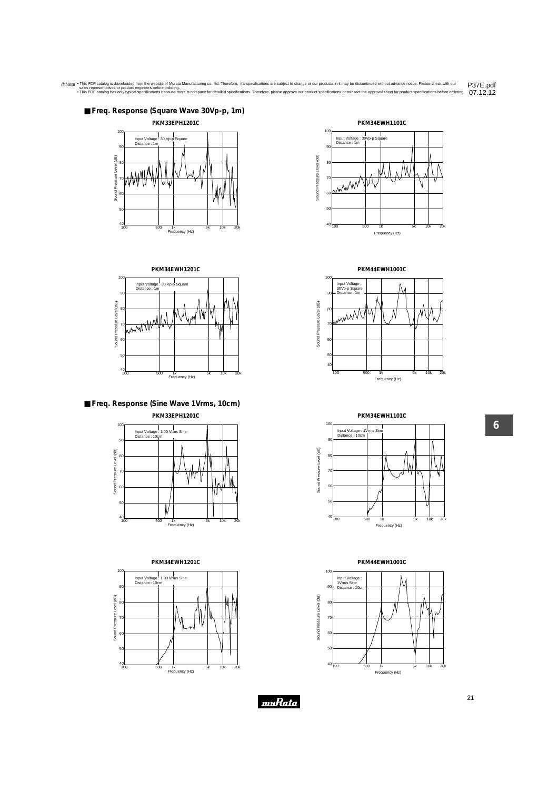





### ■ **Freq. Response (Sine Wave 1Vrms, 10cm) PKM33EPH1201C**









**PKM44EWH1001C**



**PKM34EWH1101C**



**PKM44EWH1001C**

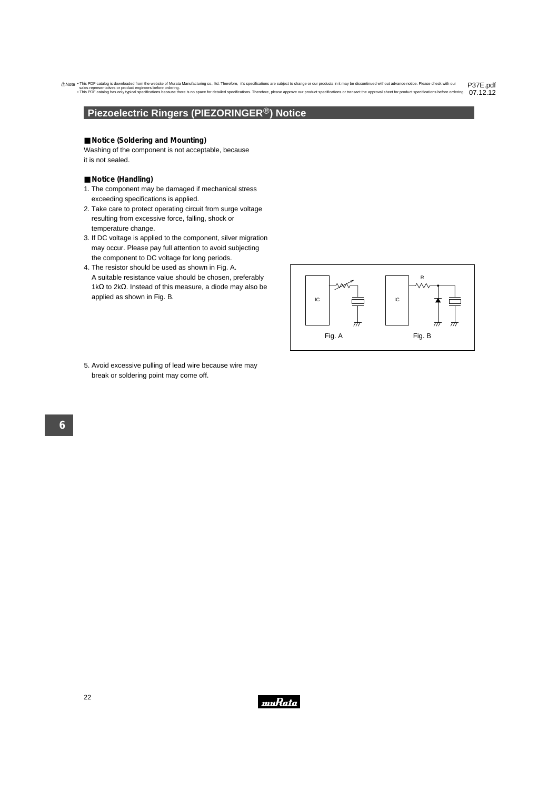# <span id="page-23-0"></span>**Piezoelectric Ringers (PIEZORINGER®) Notice**

### ■ **Notice** (Soldering and Mounting)

Washing of the component is not acceptable, because it is not sealed.

- **Notice (Handling)**
- 1. The component may be damaged if mechanical stress exceeding specifications is applied.
- 2. Take care to protect operating circuit from surge voltage resulting from excessive force, falling, shock or temperature change.
- 3. If DC voltage is applied to the component, silver migration may occur. Please pay full attention to avoid subjecting the component to DC voltage for long periods.
- 4. The resistor should be used as shown in Fig. A. A suitable resistance value should be chosen, preferably 1kΩ to 2kΩ. Instead of this measure, a diode may also be applied as shown in Fig. B.



5. Avoid excessive pulling of lead wire because wire may break or soldering point may come off.

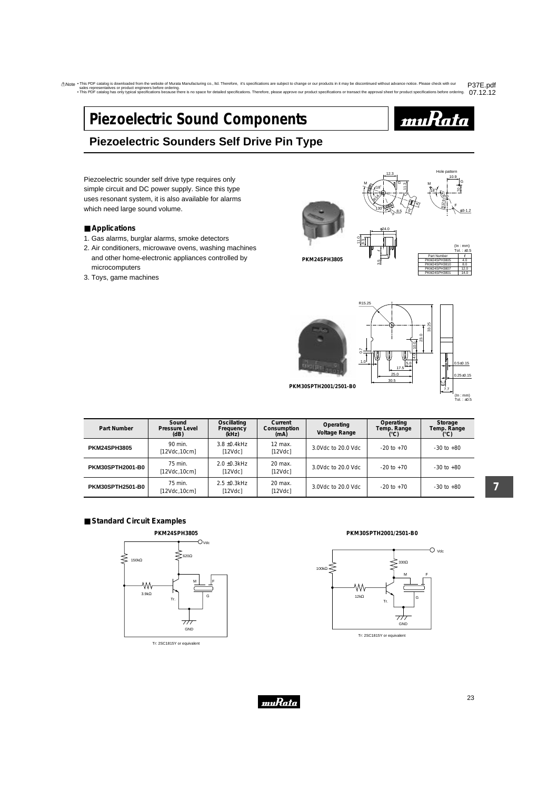# <span id="page-24-0"></span>**Piezoelectric Sound Components**



# **Piezoelectric Sounders Self Drive Pin Type**

Piezoelectric sounder self drive type requires only simple circuit and DC power supply. Since this type uses resonant system, it is also available for alarms which need large sound volume.

### ■ **Applications**

- 1. Gas alarms, burglar alarms, smoke detectors
- 2. Air conditioners, microwave ovens, washing machines and other home-electronic appliances controlled by microcomputers
- 3. Toys, game machines





**PKM24SPH3805**



Hole patter



30.5 25.0

12.3

18˚  $\mathbb{R}^2$ 130˚

M

φ24.0

3.5

<u>ت</u> 8.3



**PKM30SPTH2001/2501-B0**

| Part Number             | Sound<br>Pressure Level<br>(dB) | Oscillating<br>Frequency<br>(kHz) | Current<br>Consumption<br>(mA) | Operating<br>Voltage Range | Operating<br>Temp. Range<br>(°C) | Storage<br>Temp. Range<br>(°C) |
|-------------------------|---------------------------------|-----------------------------------|--------------------------------|----------------------------|----------------------------------|--------------------------------|
| <b>PKM24SPH3805</b>     | 90 min.<br>[12Vdc,10cm]         | $3.8 + 0.4$ kHz<br>[12Vdc]        | $12$ max.<br>[12Vdc]           | 3.0Vdc to 20.0 Vdc         | $-20$ to $+70$                   | $-30$ to $+80$                 |
| <b>PKM30SPTH2001-B0</b> | 75 min.<br>[12Vdc, 10cm]        | $2.0 + 0.3$ kHz<br>[12Vdc]        | 20 max.<br>[12Vdc]             | 3.0Vdc to 20.0 Vdc         | $-20$ to $+70$                   | $-30$ to $+80$                 |
| <b>PKM30SPTH2501-B0</b> | 75 min.<br>[12Vdc,10cm]         | $2.5 + 0.3$ kHz<br>[12Vdc]        | 20 max.<br>[12Vdc]             | 3.0Vdc to 20.0 Vdc         | $-20$ to $+70$                   | $-30$ to $+80$                 |

**7**

## ■ **Standard Circuit Examples**



Tr: 2SC1815Y or equivalent

**PKM30SPTH2001/2501-B0**



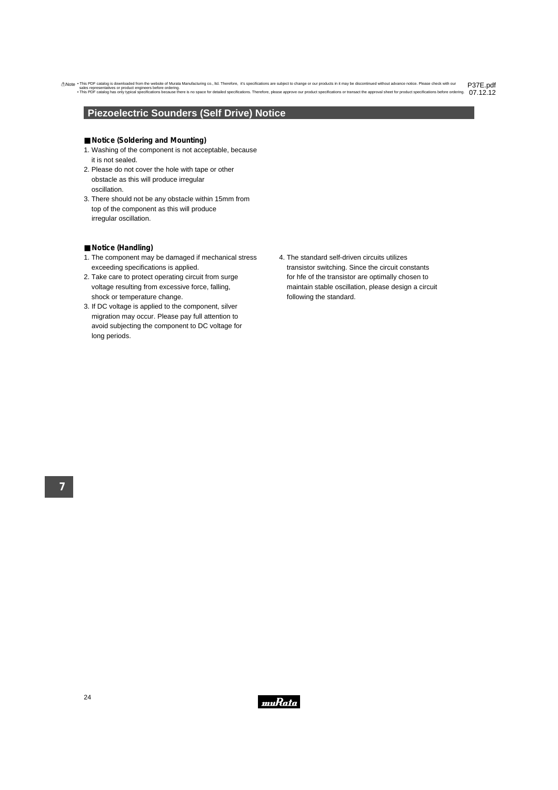# <span id="page-25-0"></span>**Piezoelectric Sounders (Self Drive) Notice**

### ■ **Notice** (Soldering and Mounting)

- 1. Washing of the component is not acceptable, because it is not sealed.
- 2. Please do not cover the hole with tape or other obstacle as this will produce irregular oscillation.
- 3. There should not be any obstacle within 15mm from top of the component as this will produce irregular oscillation.

### ■ **Notice (Handling)**

- 1. The component may be damaged if mechanical stress exceeding specifications is applied.
- 2. Take care to protect operating circuit from surge voltage resulting from excessive force, falling, shock or temperature change.
- 3. If DC voltage is applied to the component, silver migration may occur. Please pay full attention to avoid subjecting the component to DC voltage for long periods.
- 4. The standard self-driven circuits utilizes transistor switching. Since the circuit constants for hfe of the transistor are optimally chosen to maintain stable oscillation, please design a circuit following the standard.

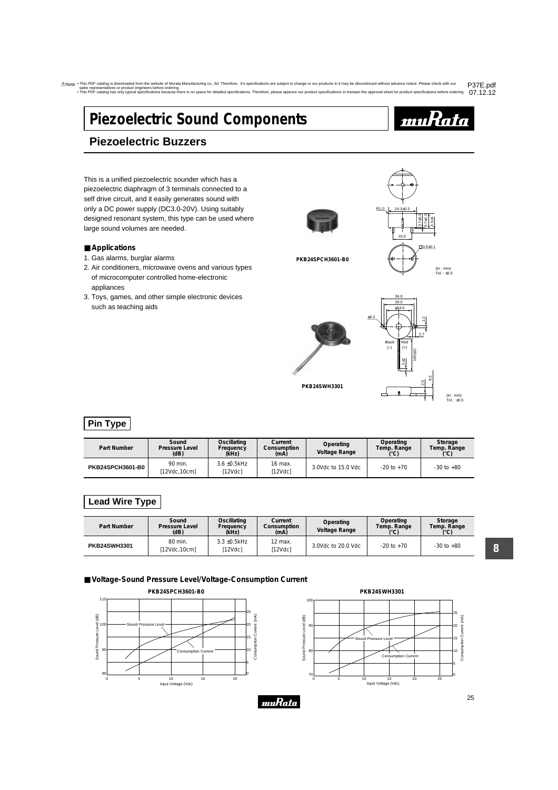# <span id="page-26-0"></span>**Piezoelectric Sound Components**



# **Piezoelectric Buzzers**

This is a unified piezoelectric sounder which has a piezoelectric diaphragm of 3 terminals connected to a self drive circuit, and it easily generates sound with only a DC power supply (DC3.0-20V). Using suitably designed resonant system, this type can be used where large sound volumes are needed.

### ■ **Applications**

- 1. Gas alarms, burglar alarms
- 2. Air conditioners, microwave ovens and various types of microcomputer controlled home-electronic appliances
- 3. Toys, games, and other simple electronic devices such as teaching aids



**PKB24SPCH3601-B0**



**PKB24SWH3301**



# **Pin Type**

| Part Number      | Sound<br><b>Pressure Level</b><br>(dB) | Oscillating<br>Frequency<br>(kHz) | Current<br>Consumption<br>(mA) | Operating<br>Voltage Range | Operating<br>Temp. Range<br>$(^{\circ}C)$ | Storage<br>Temp. Range<br>(C) |
|------------------|----------------------------------------|-----------------------------------|--------------------------------|----------------------------|-------------------------------------------|-------------------------------|
| PKB24SPCH3601-B0 | 90 min.<br>[12Vdc.10cm]                | $3.6 \pm 0.5$ kHz<br>[12Vdc]      | 16 max.<br>[12Vdc]             | 3.0Vdc to 15.0 Vdc         | $-20$ to $+70$                            | $-30$ to $+80$                |

# **Lead Wire Type**

| Part Number         | Sound<br><b>Pressure Level</b><br>(dB) | Oscillating<br>Frequency<br>(kHz) | Current<br>Consumption<br>(mA) | Operating<br>Voltage Range | Operating<br>Temp. Range<br>(°C) | Storage<br>Temp. Range<br>(°C) |
|---------------------|----------------------------------------|-----------------------------------|--------------------------------|----------------------------|----------------------------------|--------------------------------|
| <b>PKB24SWH3301</b> | 80 min.<br>[12Vdc, 10cm]               | $3.3 \pm 0.5$ kHz<br>12Vdcl       | 12 max.<br>[12Vdc]             | 3.0Vdc to 20.0 Vdc         | $-20$ to $+70$                   | $-30$ to $+80$                 |

muRata

■ **Voltage-Sound Pressure Level/Voltage-Consumption Current** 



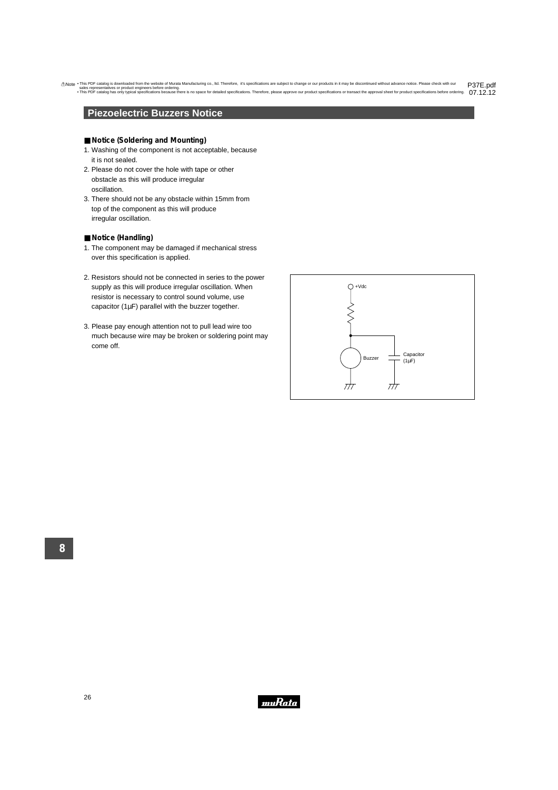## <span id="page-27-0"></span>**Piezoelectric Buzzers Notice**

### ■ **Notice** (Soldering and Mounting)

- 1. Washing of the component is not acceptable, because it is not sealed.
- 2. Please do not cover the hole with tape or other obstacle as this will produce irregular oscillation.
- 3. There should not be any obstacle within 15mm from top of the component as this will produce irregular oscillation.

### ■ **Notice (Handling)**

- 1. The component may be damaged if mechanical stress over this specification is applied.
- 2. Resistors should not be connected in series to the power supply as this will produce irregular oscillation. When resistor is necessary to control sound volume, use capacitor ( $1\mu$ F) parallel with the buzzer together.
- 3. Please pay enough attention not to pull lead wire too much because wire may be broken or soldering point may come off.



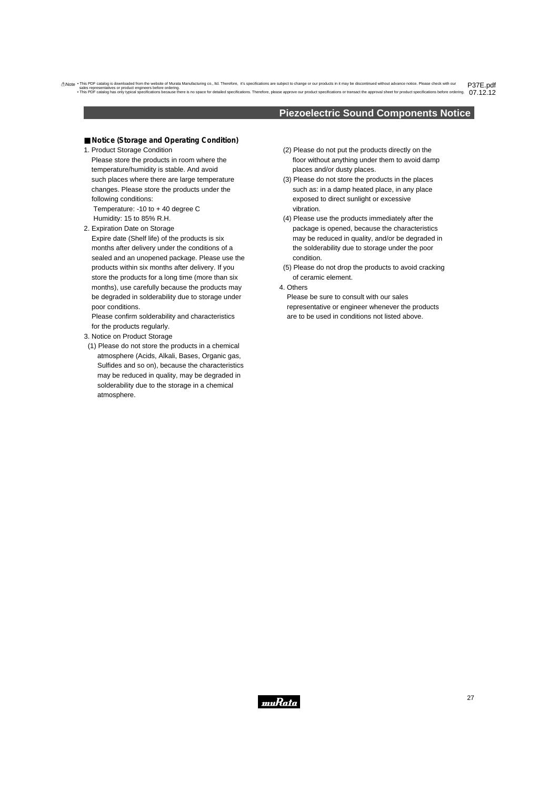## **Piezoelectric Sound Components Notice**

- <span id="page-28-0"></span>■ **Notice** (Storage and Operating Condition)
- 1. Product Storage Condition Please store the products in room where the temperature/humidity is stable. And avoid such places where there are large temperature changes. Please store the products under the following conditions:

Temperature: -10 to + 40 degree C Humidity: 15 to 85% R.H.

2. Expiration Date on Storage

Expire date (Shelf life) of the products is six months after delivery under the conditions of a sealed and an unopened package. Please use the products within six months after delivery. If you store the products for a long time (more than six months), use carefully because the products may be degraded in solderability due to storage under poor conditions.

Please confirm solderability and characteristics for the products regularly.

- 3. Notice on Product Storage
- (1) Please do not store the products in a chemical atmosphere (Acids, Alkali, Bases, Organic gas, Sulfides and so on), because the characteristics may be reduced in quality, may be degraded in solderability due to the storage in a chemical atmosphere.
- (2) Please do not put the products directly on the floor without anything under them to avoid damp places and/or dusty places.
- (3) Please do not store the products in the places such as: in a damp heated place, in any place exposed to direct sunlight or excessive vibration.
- (4) Please use the products immediately after the package is opened, because the characteristics may be reduced in quality, and/or be degraded in the solderability due to storage under the poor condition.
- (5) Please do not drop the products to avoid cracking of ceramic element.
- 4. Others

Please be sure to consult with our sales representative or engineer whenever the products are to be used in conditions not listed above.

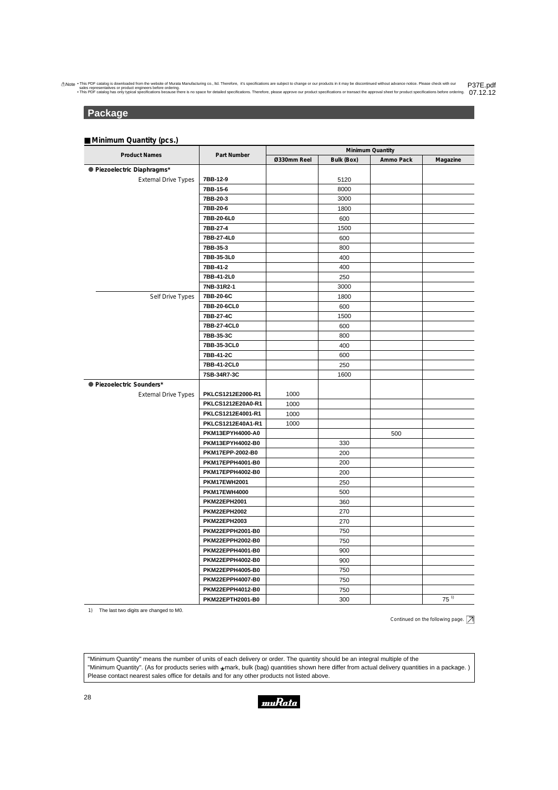## <span id="page-29-0"></span>**Package**

### ■ **Minimum Quantity (pcs.)**

|                             |                         | Minimum Quantity |            |           |           |
|-----------------------------|-------------------------|------------------|------------|-----------|-----------|
| <b>Product Names</b>        | Part Number             | Ø330mm Reel      | Bulk (Box) | Ammo Pack | Magazine  |
| · Piezoelectric Diaphragms* |                         |                  |            |           |           |
| <b>External Drive Types</b> | 7BB-12-9                |                  | 5120       |           |           |
|                             | 7BB-15-6                |                  | 8000       |           |           |
|                             | 7BB-20-3                |                  | 3000       |           |           |
|                             | 7BB-20-6                |                  | 1800       |           |           |
|                             | 7BB-20-6L0              |                  | 600        |           |           |
|                             | 7BB-27-4                |                  | 1500       |           |           |
|                             | 7BB-27-4L0              |                  | 600        |           |           |
|                             | 7BB-35-3                |                  | 800        |           |           |
|                             | 7BB-35-3L0              |                  | 400        |           |           |
|                             | 7BB-41-2                |                  | 400        |           |           |
|                             | 7BB-41-2L0              |                  | 250        |           |           |
|                             | 7NB-31R2-1              |                  | 3000       |           |           |
| Self Drive Types            | 7BB-20-6C               |                  | 1800       |           |           |
|                             | 7BB-20-6CL0             |                  | 600        |           |           |
|                             | 7BB-27-4C               |                  | 1500       |           |           |
|                             | 7BB-27-4CL0             |                  | 600        |           |           |
|                             | 7BB-35-3C               |                  | 800        |           |           |
|                             | 7BB-35-3CL0             |                  | 400        |           |           |
|                             | 7BB-41-2C               |                  | 600        |           |           |
|                             | 7BB-41-2CL0             |                  | 250        |           |           |
|                             | 7SB-34R7-3C             |                  | 1600       |           |           |
| ● Piezoelectric Sounders*   |                         |                  |            |           |           |
| <b>External Drive Types</b> | PKLCS1212E2000-R1       | 1000             |            |           |           |
|                             | PKLCS1212E20A0-R1       | 1000             |            |           |           |
|                             | PKLCS1212E4001-R1       | 1000             |            |           |           |
|                             | PKLCS1212E40A1-R1       | 1000             |            |           |           |
|                             | PKM13EPYH4000-A0        |                  |            | 500       |           |
|                             | PKM13EPYH4002-B0        |                  | 330        |           |           |
|                             | PKM17EPP-2002-B0        |                  | 200        |           |           |
|                             | PKM17EPPH4001-B0        |                  | 200        |           |           |
|                             | PKM17EPPH4002-B0        |                  | 200        |           |           |
|                             | <b>PKM17EWH2001</b>     |                  | 250        |           |           |
|                             | PKM17EWH4000            |                  | 500        |           |           |
|                             | <b>PKM22EPH2001</b>     |                  | 360        |           |           |
|                             | <b>PKM22EPH2002</b>     |                  | 270        |           |           |
|                             | <b>PKM22EPH2003</b>     |                  | 270        |           |           |
|                             | <b>PKM22EPPH2001-B0</b> |                  | 750        |           |           |
|                             | <b>PKM22EPPH2002-B0</b> |                  | 750        |           |           |
|                             | PKM22EPPH4001-B0        |                  | 900        |           |           |
|                             | PKM22EPPH4002-B0        |                  | 900        |           |           |
|                             | PKM22EPPH4005-B0        |                  | 750        |           |           |
|                             | PKM22EPPH4007-B0        |                  | 750        |           |           |
|                             | PKM22EPPH4012-B0        |                  | 750        |           |           |
|                             | <b>PKM22EPTH2001-B0</b> |                  | 300        |           | $75^{11}$ |

1) The last two digits are changed to M0.

Continued on the following page.  $\boxed{\nearrow}$ 

"Minimum Quantity" means the number of units of each delivery or order. The quantity should be an integral multiple of the "Minimum Quantity". (As for products series with  $\star$ mark, bulk (bag) quantities shown here differ from actual delivery quantities in a package. )<br>Please contact nearest sales office for details and for any other products Please contact nearest sales office for details and for any other products not listed above.

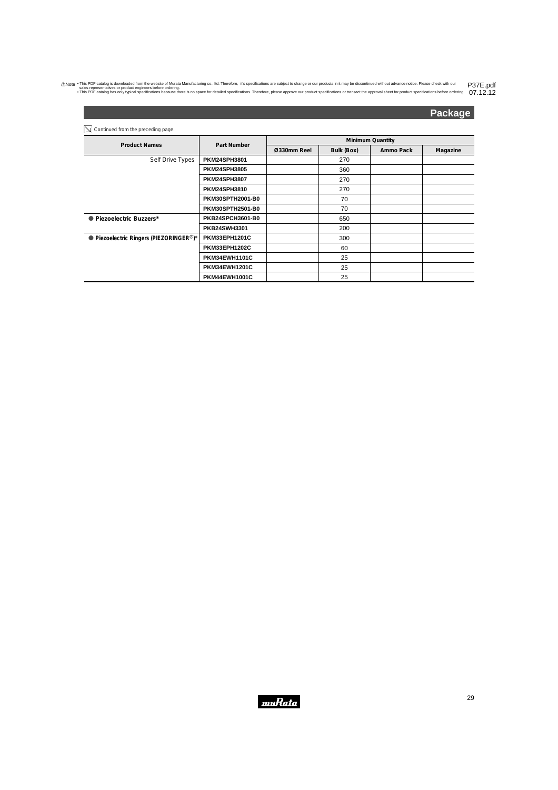## **Package**

 $\boxed{\searrow}$  Continued from the preceding page.

| $-$                                                  | Part Number             | <b>Minimum Quantity</b> |            |           |          |  |
|------------------------------------------------------|-------------------------|-------------------------|------------|-----------|----------|--|
| <b>Product Names</b>                                 |                         | Ø330mm Reel             | Bulk (Box) | Ammo Pack | Magazine |  |
| Self Drive Types                                     | <b>PKM24SPH3801</b>     |                         | 270        |           |          |  |
|                                                      | <b>PKM24SPH3805</b>     |                         | 360        |           |          |  |
|                                                      | <b>PKM24SPH3807</b>     |                         | 270        |           |          |  |
|                                                      | <b>PKM24SPH3810</b>     |                         | 270        |           |          |  |
|                                                      | <b>PKM30SPTH2001-B0</b> |                         | 70         |           |          |  |
|                                                      | <b>PKM30SPTH2501-B0</b> |                         | 70         |           |          |  |
| ● Piezoelectric Buzzers*                             | <b>PKB24SPCH3601-B0</b> |                         | 650        |           |          |  |
|                                                      | <b>PKB24SWH3301</b>     |                         | 200        |           |          |  |
| ● Piezoelectric Ringers (PIEZORINGER <sup>®</sup> )* | PKM33EPH1201C           |                         | 300        |           |          |  |
|                                                      | <b>PKM33EPH1202C</b>    |                         | 60         |           |          |  |
|                                                      | PKM34EWH1101C           |                         | 25         |           |          |  |
|                                                      | PKM34EWH1201C           |                         | 25         |           |          |  |
|                                                      | PKM44EWH1001C           |                         | 25         |           |          |  |